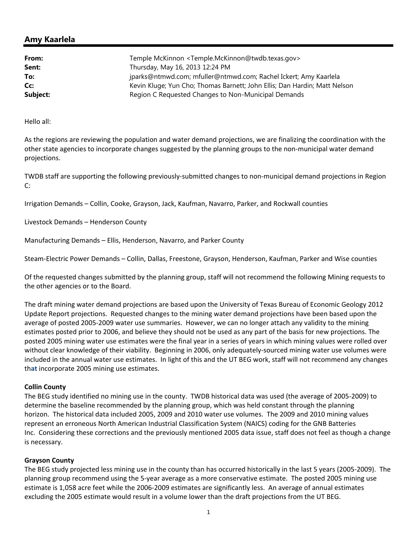## **Amy Kaarlela**

| From:<br>Sent: | Temple McKinnon <temple.mckinnon@twdb.texas.gov><br/>Thursday, May 16, 2013 12:24 PM</temple.mckinnon@twdb.texas.gov> |
|----------------|-----------------------------------------------------------------------------------------------------------------------|
| To:            | jparks@ntmwd.com; mfuller@ntmwd.com; Rachel Ickert; Amy Kaarlela                                                      |
| Cc:            | Kevin Kluge; Yun Cho; Thomas Barnett; John Ellis; Dan Hardin; Matt Nelson                                             |
| Subject:       | Region C Requested Changes to Non-Municipal Demands                                                                   |

Hello all:

As the regions are reviewing the population and water demand projections, we are finalizing the coordination with the other state agencies to incorporate changes suggested by the planning groups to the non‐municipal water demand projections.

TWDB staff are supporting the following previously‐submitted changes to non‐municipal demand projections in Region C:

Irrigation Demands – Collin, Cooke, Grayson, Jack, Kaufman, Navarro, Parker, and Rockwall counties

Livestock Demands – Henderson County

Manufacturing Demands – Ellis, Henderson, Navarro, and Parker County

Steam‐Electric Power Demands – Collin, Dallas, Freestone, Grayson, Henderson, Kaufman, Parker and Wise counties

Of the requested changes submitted by the planning group, staff will not recommend the following Mining requests to the other agencies or to the Board.

The draft mining water demand projections are based upon the University of Texas Bureau of Economic Geology 2012 Update Report projections. Requested changes to the mining water demand projections have been based upon the average of posted 2005‐2009 water use summaries. However, we can no longer attach any validity to the mining estimates posted prior to 2006, and believe they should not be used as any part of the basis for new projections. The posted 2005 mining water use estimates were the final year in a series of years in which mining values were rolled over without clear knowledge of their viability. Beginning in 2006, only adequately-sourced mining water use volumes were included in the annual water use estimates. In light of this and the UT BEG work, staff will not recommend any changes th**at** incorporate 2005 mining use estimates.

## **Collin County**

The BEG study identified no mining use in the county. TWDB historical data was used (the average of 2005‐2009) to determine the baseline recommended by the planning group, which was held constant through the planning horizon. The historical data included 2005, 2009 and 2010 water use volumes. The 2009 and 2010 mining values represent an erroneous North American Industrial Classification System (NAICS) coding for the GNB Batteries Inc. Considering these corrections and the previously mentioned 2005 data issue, staff does not feel as though a change is necessary.

## **Grayson County**

The BEG study projected less mining use in the county than has occurred historically in the last 5 years (2005‐2009). The planning group recommend using the 5‐year average as a more conservative estimate. The posted 2005 mining use estimate is 1,058 acre feet while the 2006‐2009 estimates are significantly less. An average of annual estimates excluding the 2005 estimate would result in a volume lower than the draft projections from the UT BEG.